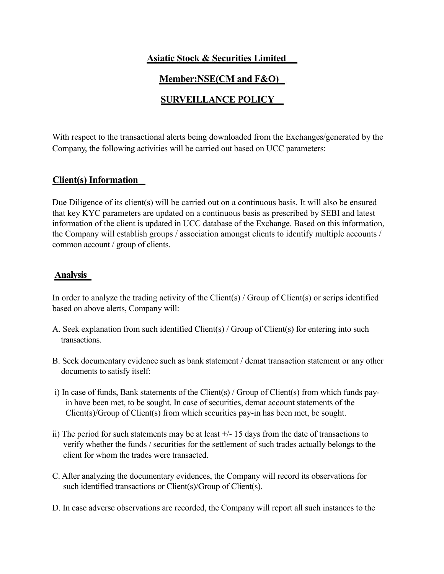## **Asiatic Stock & Securities Limited**

# **Member:NSE(CM and F&O)**

# **SURVEILLANCE POLICY**

With respect to the transactional alerts being downloaded from the Exchanges/generated by the Company, the following activities will be carried out based on UCC parameters:

### **Client(s) Information**

Due Diligence of its client(s) will be carried out on a continuous basis. It will also be ensured that key KYC parameters are updated on a continuous basis as prescribed by SEBI and latest information of the client is updated in UCC database of the Exchange. Based on this information, the Company will establish groups / association amongst clients to identify multiple accounts / common account / group of clients.

### **Analysis**

In order to analyze the trading activity of the Client(s) / Group of Client(s) or scrips identified based on above alerts, Company will:

- A. Seek explanation from such identified Client(s) / Group of Client(s) for entering into such transactions.
- B. Seek documentary evidence such as bank statement / demat transaction statement or any other documents to satisfy itself:
- i) In case of funds, Bank statements of the Client(s) / Group of Client(s) from which funds payin have been met, to be sought. In case of securities, demat account statements of the Client(s)/Group of Client(s) from which securities pay-in has been met, be sought.
- ii) The period for such statements may be at least +/- 15 days from the date of transactions to verify whether the funds / securities for the settlement of such trades actually belongs to the client for whom the trades were transacted.
- C. After analyzing the documentary evidences, the Company will record its observations for such identified transactions or Client(s)/Group of Client(s).
- D. In case adverse observations are recorded, the Company will report all such instances to the